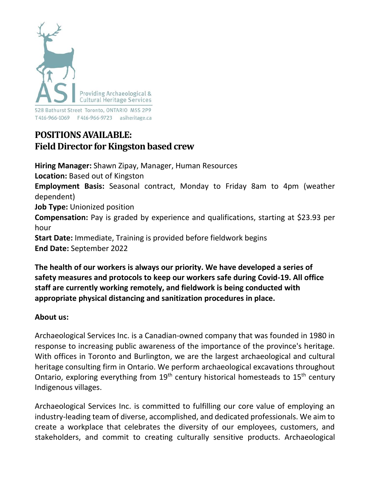

528 Bathurst Street Toronto, ONTARIO M5S 2P9 

# **POSITIONSAVAILABLE: Field Director for Kingston based crew**

**Hiring Manager:** Shawn Zipay, Manager, Human Resources **Location:** Based out of Kingston **Employment Basis:** Seasonal contract, Monday to Friday 8am to 4pm (weather dependent) **Job Type:** Unionized position **Compensation:** Pay is graded by experience and qualifications, starting at \$23.93 per hour **Start Date:** Immediate, Training is provided before fieldwork begins **End Date:** September 2022

**The health of our workers is always our priority. We have developed a series of safety measures and protocols to keep our workers safe during Covid-19. All office staff are currently working remotely, and fieldwork is being conducted with appropriate physical distancing and sanitization procedures in place.**

# **About us:**

Archaeological Services Inc. is a Canadian-owned company that was founded in 1980 in response to increasing public awareness of the importance of the province's heritage. With offices in Toronto and Burlington, we are the largest archaeological and cultural heritage consulting firm in Ontario. We perform archaeological excavations throughout Ontario, exploring everything from  $19<sup>th</sup>$  century historical homesteads to  $15<sup>th</sup>$  century Indigenous villages.

Archaeological Services Inc. is committed to fulfilling our core value of employing an industry-leading team of diverse, accomplished, and dedicated professionals. We aim to create a workplace that celebrates the diversity of our employees, customers, and stakeholders, and commit to creating culturally sensitive products. Archaeological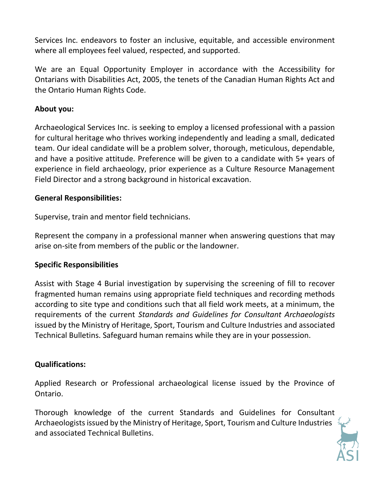Services Inc. endeavors to foster an inclusive, equitable, and accessible environment where all employees feel valued, respected, and supported.

We are an Equal Opportunity Employer in accordance with the Accessibility for Ontarians with Disabilities Act, 2005, the tenets of the Canadian Human Rights Act and the Ontario Human Rights Code.

## **About you:**

Archaeological Services Inc. is seeking to employ a licensed professional with a passion for cultural heritage who thrives working independently and leading a small, dedicated team. Our ideal candidate will be a problem solver, thorough, meticulous, dependable, and have a positive attitude. Preference will be given to a candidate with 5+ years of experience in field archaeology, prior experience as a Culture Resource Management Field Director and a strong background in historical excavation.

## **General Responsibilities:**

Supervise, train and mentor field technicians.

Represent the company in a professional manner when answering questions that may arise on-site from members of the public or the landowner.

#### **Specific Responsibilities**

Assist with Stage 4 Burial investigation by supervising the screening of fill to recover fragmented human remains using appropriate field techniques and recording methods according to site type and conditions such that all field work meets, at a minimum, the requirements of the current *Standards and Guidelines for Consultant Archaeologists* issued by the Ministry of Heritage, Sport, Tourism and Culture Industries and associated Technical Bulletins. Safeguard human remains while they are in your possession.

# **Qualifications:**

Applied Research or Professional archaeological license issued by the Province of Ontario.

Thorough knowledge of the current Standards and Guidelines for Consultant Archaeologists issued by the Ministry of Heritage, Sport, Tourism and Culture Industries and associated Technical Bulletins.